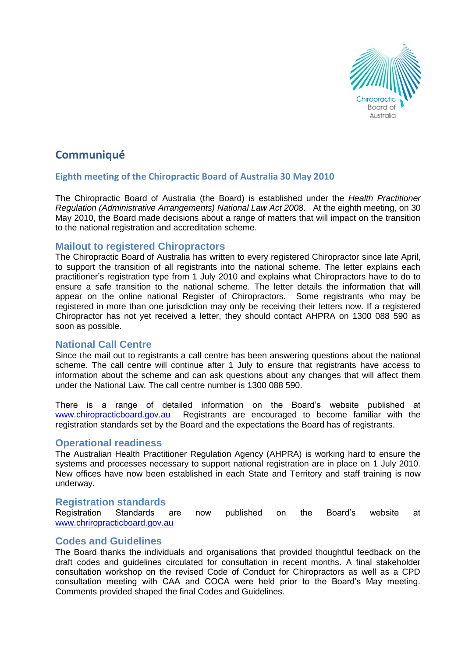

# **Communiqué**

# **Eighth meeting of the Chiropractic Board of Australia 30 May 2010**

The Chiropractic Board of Australia (the Board) is established under the *Health Practitioner Regulation (Administrative Arrangements) National Law Act 2008*. At the eighth meeting, on 30 May 2010, the Board made decisions about a range of matters that will impact on the transition to the national registration and accreditation scheme.

## **Mailout to registered Chiropractors**

The Chiropractic Board of Australia has written to every registered Chiropractor since late April, to support the transition of all registrants into the national scheme. The letter explains each practitioner's registration type from 1 July 2010 and explains what Chiropractors have to do to ensure a safe transition to the national scheme. The letter details the information that will appear on the online national Register of Chiropractors. Some registrants who may be registered in more than one jurisdiction may only be receiving their letters now. If a registered Chiropractor has not yet received a letter, they should contact AHPRA on 1300 088 590 as soon as possible.

# **National Call Centre**

Since the mail out to registrants a call centre has been answering questions about the national scheme. The call centre will continue after 1 July to ensure that registrants have access to information about the scheme and can ask questions about any changes that will affect them under the National Law. The call centre number is 1300 088 590.

There is a range of detailed information on the Board's website published at [www.chiropracticboard.gov.au](http://www.chiropracticboard.gov.au/) Registrants are encouraged to become familiar with the registration standards set by the Board and the expectations the Board has of registrants.

#### **Operational readiness**

The Australian Health Practitioner Regulation Agency (AHPRA) is working hard to ensure the systems and processes necessary to support national registration are in place on 1 July 2010. New offices have now been established in each State and Territory and staff training is now underway.

## **Registration standards**

Registration Standards are now published on the Board's website at [www.chriropracticboard.gov.au](http://www.chriropracticboard.gov,au/)

# **Codes and Guidelines**

The Board thanks the individuals and organisations that provided thoughtful feedback on the draft codes and guidelines circulated for consultation in recent months. A final stakeholder consultation workshop on the revised Code of Conduct for Chiropractors as well as a CPD consultation meeting with CAA and COCA were held prior to the Board's May meeting. Comments provided shaped the final Codes and Guidelines.